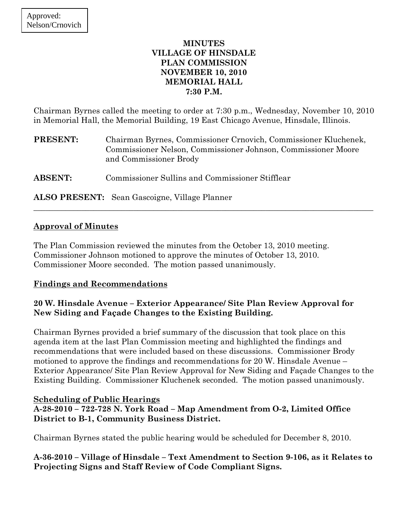### **MINUTES VILLAGE OF HINSDALE PLAN COMMISSION NOVEMBER 10, 2010 MEMORIAL HALL 7:30 P.M.**

Chairman Byrnes called the meeting to order at 7:30 p.m., Wednesday, November 10, 2010 in Memorial Hall, the Memorial Building, 19 East Chicago Avenue, Hinsdale, Illinois.

| <b>PRESENT:</b> | Chairman Byrnes, Commissioner Crnovich, Commissioner Kluchenek,<br>Commissioner Nelson, Commissioner Johnson, Commissioner Moore<br>and Commissioner Brody |
|-----------------|------------------------------------------------------------------------------------------------------------------------------------------------------------|
| <b>ABSENT:</b>  | Commissioner Sullins and Commissioner Stifflear                                                                                                            |

 $\_$  , and the set of the set of the set of the set of the set of the set of the set of the set of the set of the set of the set of the set of the set of the set of the set of the set of the set of the set of the set of th

**ALSO PRESENT:** Sean Gascoigne, Village Planner

## **Approval of Minutes**

The Plan Commission reviewed the minutes from the October 13, 2010 meeting. Commissioner Johnson motioned to approve the minutes of October 13, 2010. Commissioner Moore seconded. The motion passed unanimously.

## **Findings and Recommendations**

## **20 W. Hinsdale Avenue – Exterior Appearance/ Site Plan Review Approval for New Siding and Façade Changes to the Existing Building.**

Chairman Byrnes provided a brief summary of the discussion that took place on this agenda item at the last Plan Commission meeting and highlighted the findings and recommendations that were included based on these discussions. Commissioner Brody motioned to approve the findings and recommendations for 20 W. Hinsdale Avenue – Exterior Appearance/ Site Plan Review Approval for New Siding and Façade Changes to the Existing Building. Commissioner Kluchenek seconded. The motion passed unanimously.

## **Scheduling of Public Hearings**

**A-28-2010 – 722-728 N. York Road – Map Amendment from O-2, Limited Office District to B-1, Community Business District.** 

Chairman Byrnes stated the public hearing would be scheduled for December 8, 2010.

**A-36-2010 – Village of Hinsdale – Text Amendment to Section 9-106, as it Relates to Projecting Signs and Staff Review of Code Compliant Signs.**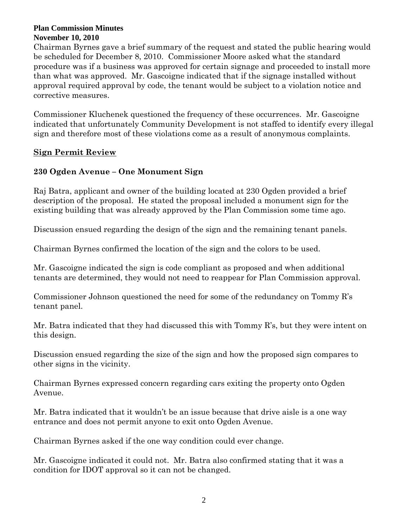#### **Plan Commission Minutes November 10, 2010**

Chairman Byrnes gave a brief summary of the request and stated the public hearing would be scheduled for December 8, 2010. Commissioner Moore asked what the standard procedure was if a business was approved for certain signage and proceeded to install more than what was approved. Mr. Gascoigne indicated that if the signage installed without approval required approval by code, the tenant would be subject to a violation notice and corrective measures.

Commissioner Kluchenek questioned the frequency of these occurrences. Mr. Gascoigne indicated that unfortunately Community Development is not staffed to identify every illegal sign and therefore most of these violations come as a result of anonymous complaints.

## **Sign Permit Review**

# **230 Ogden Avenue – One Monument Sign**

Raj Batra, applicant and owner of the building located at 230 Ogden provided a brief description of the proposal. He stated the proposal included a monument sign for the existing building that was already approved by the Plan Commission some time ago.

Discussion ensued regarding the design of the sign and the remaining tenant panels.

Chairman Byrnes confirmed the location of the sign and the colors to be used.

Mr. Gascoigne indicated the sign is code compliant as proposed and when additional tenants are determined, they would not need to reappear for Plan Commission approval.

Commissioner Johnson questioned the need for some of the redundancy on Tommy R's tenant panel.

Mr. Batra indicated that they had discussed this with Tommy  $R$ 's, but they were intent on this design.

Discussion ensued regarding the size of the sign and how the proposed sign compares to other signs in the vicinity.

Chairman Byrnes expressed concern regarding cars exiting the property onto Ogden Avenue.

Mr. Batra indicated that it wouldn't be an issue because that drive aisle is a one way entrance and does not permit anyone to exit onto Ogden Avenue.

Chairman Byrnes asked if the one way condition could ever change.

Mr. Gascoigne indicated it could not. Mr. Batra also confirmed stating that it was a condition for IDOT approval so it can not be changed.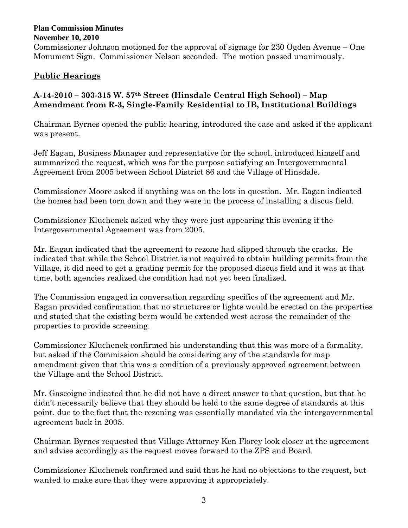#### **Plan Commission Minutes November 10, 2010**

Commissioner Johnson motioned for the approval of signage for 230 Ogden Avenue – One Monument Sign. Commissioner Nelson seconded. The motion passed unanimously.

# **Public Hearings**

# **A-14-2010 – 303-315 W. 57th Street (Hinsdale Central High School) – Map Amendment from R-3, Single-Family Residential to IB, Institutional Buildings**

Chairman Byrnes opened the public hearing, introduced the case and asked if the applicant was present.

Jeff Eagan, Business Manager and representative for the school, introduced himself and summarized the request, which was for the purpose satisfying an Intergovernmental Agreement from 2005 between School District 86 and the Village of Hinsdale.

Commissioner Moore asked if anything was on the lots in question. Mr. Eagan indicated the homes had been torn down and they were in the process of installing a discus field.

Commissioner Kluchenek asked why they were just appearing this evening if the Intergovernmental Agreement was from 2005.

Mr. Eagan indicated that the agreement to rezone had slipped through the cracks. He indicated that while the School District is not required to obtain building permits from the Village, it did need to get a grading permit for the proposed discus field and it was at that time, both agencies realized the condition had not yet been finalized.

The Commission engaged in conversation regarding specifics of the agreement and Mr. Eagan provided confirmation that no structures or lights would be erected on the properties and stated that the existing berm would be extended west across the remainder of the properties to provide screening.

Commissioner Kluchenek confirmed his understanding that this was more of a formality, but asked if the Commission should be considering any of the standards for map amendment given that this was a condition of a previously approved agreement between the Village and the School District.

Mr. Gascoigne indicated that he did not have a direct answer to that question, but that he didn't necessarily believe that they should be held to the same degree of standards at this point, due to the fact that the rezoning was essentially mandated via the intergovernmental agreement back in 2005.

Chairman Byrnes requested that Village Attorney Ken Florey look closer at the agreement and advise accordingly as the request moves forward to the ZPS and Board.

Commissioner Kluchenek confirmed and said that he had no objections to the request, but wanted to make sure that they were approving it appropriately.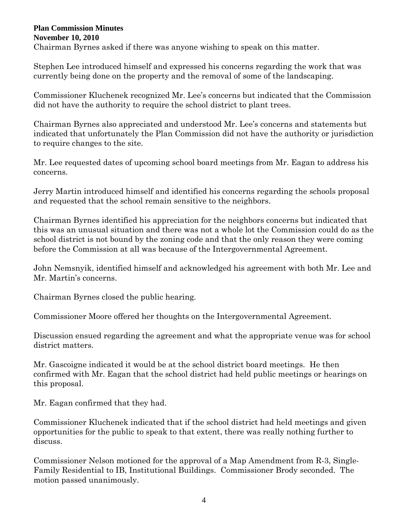#### **Plan Commission Minutes November 10, 2010**

Chairman Byrnes asked if there was anyone wishing to speak on this matter.

Stephen Lee introduced himself and expressed his concerns regarding the work that was currently being done on the property and the removal of some of the landscaping.

Commissioner Kluchenek recognized Mr. Lee's concerns but indicated that the Commission did not have the authority to require the school district to plant trees.

Chairman Byrnes also appreciated and understood Mr. Lee's concerns and statements but indicated that unfortunately the Plan Commission did not have the authority or jurisdiction to require changes to the site.

Mr. Lee requested dates of upcoming school board meetings from Mr. Eagan to address his concerns.

Jerry Martin introduced himself and identified his concerns regarding the schools proposal and requested that the school remain sensitive to the neighbors.

Chairman Byrnes identified his appreciation for the neighbors concerns but indicated that this was an unusual situation and there was not a whole lot the Commission could do as the school district is not bound by the zoning code and that the only reason they were coming before the Commission at all was because of the Intergovernmental Agreement.

John Nemsnyik, identified himself and acknowledged his agreement with both Mr. Lee and Mr. Martin's concerns.

Chairman Byrnes closed the public hearing.

Commissioner Moore offered her thoughts on the Intergovernmental Agreement.

Discussion ensued regarding the agreement and what the appropriate venue was for school district matters.

Mr. Gascoigne indicated it would be at the school district board meetings. He then confirmed with Mr. Eagan that the school district had held public meetings or hearings on this proposal.

Mr. Eagan confirmed that they had.

Commissioner Kluchenek indicated that if the school district had held meetings and given opportunities for the public to speak to that extent, there was really nothing further to discuss.

Commissioner Nelson motioned for the approval of a Map Amendment from R-3, Single-Family Residential to IB, Institutional Buildings. Commissioner Brody seconded. The motion passed unanimously.